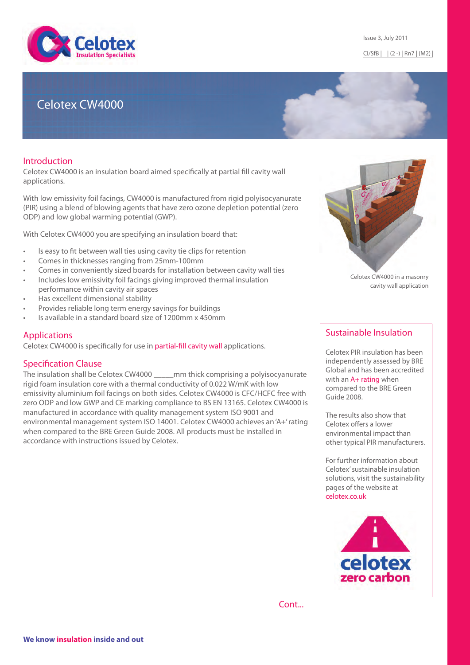

# Celotex CW4000

## Introduction

Celotex CW4000 is an insulation board aimed specifically at partial fill cavity wall applications.

With low emissivity foil facings, CW4000 is manufactured from rigid polyisocyanurate (PIR) using a blend of blowing agents that have zero ozone depletion potential (zero ODP) and low global warming potential (GWP).

With Celotex CW4000 you are specifying an insulation board that:

- Is easy to fit between wall ties using cavity tie clips for retention
- Comes in thicknesses ranging from 25mm-100mm
- Comes in conveniently sized boards for installation between cavity wall ties
- Includes low emissivity foil facings giving improved thermal insulation performance within cavity air spaces
- Has excellent dimensional stability
- Provides reliable long term energy savings for buildings
- Is available in a standard board size of 1200mm x 450mm

# Applications

Celotex CW4000 is specifically for use in [partial-fill cavity wall](http://www.celotex.co.uk/applications/wall-insulation/masonry-cavity-walls) applications.

### Specification Clause

The insulation shall be Celotex CW4000 \_\_\_\_\_mm thick comprising a polyisocyanurate rigid foam insulation core with a thermal conductivity of 0.022 W/mK with low emissivity aluminium foil facings on both sides. Celotex CW4000 is CFC/HCFC free with zero ODP and low GWP and CE marking compliance to BS EN 13165. Celotex CW4000 is manufactured in accordance with quality management system ISO 9001 and environmental management system ISO 14001. Celotex CW4000 achieves an 'A+' rating when compared to the BRE Green Guide 2008. All products must be installed in accordance with instructions issued by Celotex.



Celotex CW4000 in a masonry cavity wall application

# Sustainable Insulation

Celotex PIR insulation has been independently assessed by BRE Global and has been accredited with an [A+ rating](http://www.celotex.co.uk/aplus) when compared to the BRE Green Guide 2008.

The results also show that Celotex offers a lower environmental impact than other typical PIR manufacturers.

For further information about Celotex' sustainable insulation solutions, visit the sustainability pages of the website at [celotex.co.uk](http://www.celotex.co.uk/)



Cont